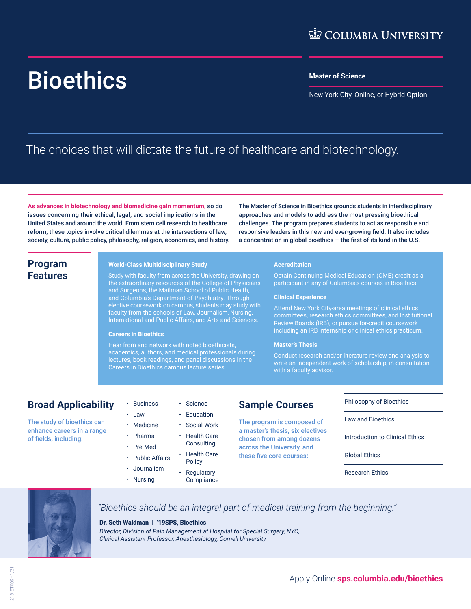# Bioethics **Master of Science**

New York City, Online, or Hybrid Option

## The choices that will dictate the future of healthcare and biotechnology.

**As advances in biotechnology and biomedicine gain momentum,** so do issues concerning their ethical, legal, and social implications in the United States and around the world. From stem cell research to healthcare reform, these topics involve critical dilemmas at the intersections of law, society, culture, public policy, philosophy, religion, economics, and history.

The Master of Science in Bioethics grounds students in interdisciplinary approaches and models to address the most pressing bioethical challenges. The program prepares students to act as responsible and responsive leaders in this new and ever-growing field. It also includes a concentration in global bioethics – the first of its kind in the U.S.

#### **Program Features**

#### **World-Class Multidisciplinary Study**

Study with faculty from across the University, drawing on the extraordinary resources of the College of Physicians and Surgeons, the Mailman School of Public Health, and Columbia's Department of Psychiatry. Through elective coursework on campus, students may study with faculty from the schools of Law, Journalism, Nursing, International and Public Affairs, and Arts and Sciences.

#### **Careers in Bioethics**

Hear from and network with noted bioethicists, academics, authors, and medical professionals during lectures, book readings, and panel discussions in the Careers in Bioethics campus lecture series.

> • Science **Education** • Social Work • Health Care **Consulting** • Health Care Policy **Regulatory Compliance**

#### **Accreditation**

Obtain Continuing Medical Education (CME) credit as a participant in any of Columbia's courses in Bioethics.

#### **Clinical Experience**

Attend New York City-area meetings of clinical ethics committees, research ethics committees, and Institutional Review Boards (IRB), or pursue for-credit coursework including an IRB internship or clinical ethics practicum.

#### **Master's Thesis**

Conduct research and/or literature review and analysis to write an independent work of scholarship, in consultation with a faculty advisor.

#### **Broad Applicability**

The study of bioethics can enhance careers in a range of fields, including:

- Pre-Med
	- Public Affairs
	- Journalism

**Business** • Law • Medicine • Pharma

• Nursing

#### **Sample Courses**

The program is composed of a master's thesis, six electives chosen from among dozens across the University, and these five core courses:

#### Philosophy of Bioethics

Law and Bioethics

Introduction to Clinical Ethics

Global Ethics

Research Ethics



#### *"Bioethics should be an integral part of medical training from the beginning."*

#### Dr. Seth Waldman | '19SPS, Bioethics

*Director, Division of Pain Management at Hospital for Special Surgery, NYC, Clinical Assistant Professor, Anesthesiology, Cornell University*